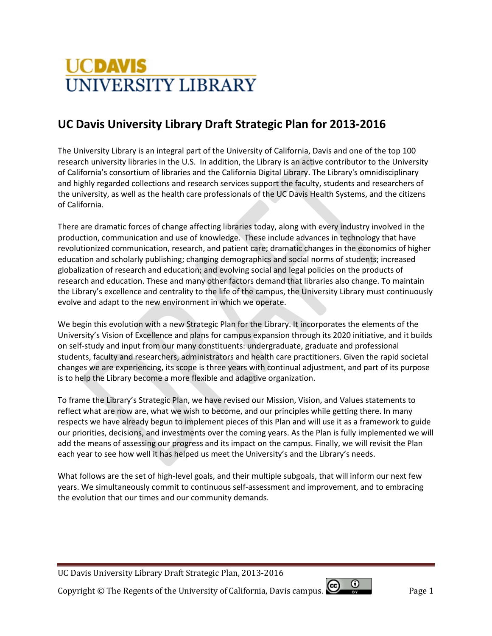# **UCDAVIS UNIVERSITY LIBRARY**

# **UC Davis University Library Draft Strategic Plan for 2013-2016**

The University Library is an integral part of the University of California, Davis and one of the top 100 research university libraries in the U.S. In addition, the Library is an active contributor to the University of California's consortium of libraries and the California Digital Library. The Library's omnidisciplinary and highly regarded collections and research services support the faculty, students and researchers of the university, as well as the health care professionals of the UC Davis Health Systems, and the citizens of California.

There are dramatic forces of change affecting libraries today, along with every industry involved in the production, communication and use of knowledge. These include advances in technology that have revolutionized communication, research, and patient care; dramatic changes in the economics of higher education and scholarly publishing; changing demographics and social norms of students; increased globalization of research and education; and evolving social and legal policies on the products of research and education. These and many other factors demand that libraries also change. To maintain the Library's excellence and centrality to the life of the campus, the University Library must continuously evolve and adapt to the new environment in which we operate.

We begin this evolution with a new Strategic Plan for the Library. It incorporates the elements of the University's Vision of Excellence and plans for campus expansion through its 2020 initiative, and it builds on self-study and input from our many constituents: undergraduate, graduate and professional students, faculty and researchers, administrators and health care practitioners. Given the rapid societal changes we are experiencing, its scope is three years with continual adjustment, and part of its purpose is to help the Library become a more flexible and adaptive organization.

To frame the Library's Strategic Plan, we have revised our Mission, Vision, and Values statements to reflect what are now are, what we wish to become, and our principles while getting there. In many respects we have already begun to implement pieces of this Plan and will use it as a framework to guide our priorities, decisions, and investments over the coming years. As the Plan is fully implemented we will add the means of assessing our progress and its impact on the campus. Finally, we will revisit the Plan each year to see how well it has helped us meet the University's and the Library's needs.

What follows are the set of high-level goals, and their multiple subgoals, that will inform our next few years. We simultaneously commit to continuous self-assessment and improvement, and to embracing the evolution that our times and our community demands.

UC Davis University Library Draft Strategic Plan, 2013-2016

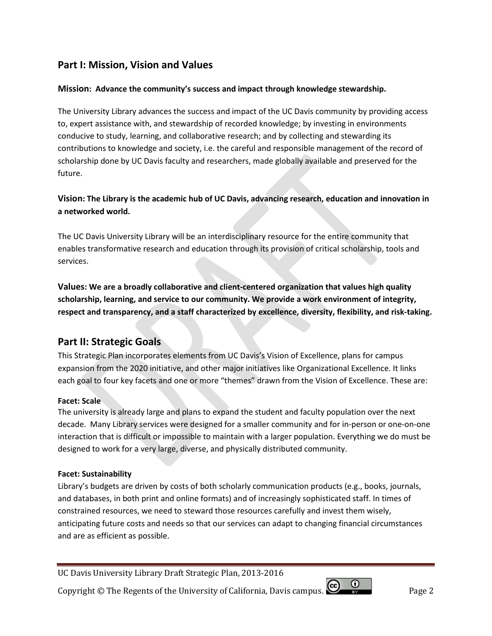# **Part I: Mission, Vision and Values**

#### **Mission: Advance the community's success and impact through knowledge stewardship.**

The University Library advances the success and impact of the UC Davis community by providing access to, expert assistance with, and stewardship of recorded knowledge; by investing in environments conducive to study, learning, and collaborative research; and by collecting and stewarding its contributions to knowledge and society, i.e. the careful and responsible management of the record of scholarship done by UC Davis faculty and researchers, made globally available and preserved for the future.

### **Vision: The Library is the academic hub of UC Davis, advancing research, education and innovation in a networked world.**

The UC Davis University Library will be an interdisciplinary resource for the entire community that enables transformative research and education through its provision of critical scholarship, tools and services.

**Values: We are a broadly collaborative and client-centered organization that values high quality scholarship, learning, and service to our community. We provide a work environment of integrity, respect and transparency, and a staff characterized by excellence, diversity, flexibility, and risk-taking.**

# **Part II: Strategic Goals**

This Strategic Plan incorporates elements from UC Davis's Vision of Excellence, plans for campus expansion from the 2020 initiative, and other major initiatives like Organizational Excellence. It links each goal to four key facets and one or more "themes" drawn from the Vision of Excellence. These are:

#### **Facet: Scale**

The university is already large and plans to expand the student and faculty population over the next decade. Many Library services were designed for a smaller community and for in-person or one-on-one interaction that is difficult or impossible to maintain with a larger population. Everything we do must be designed to work for a very large, diverse, and physically distributed community.

#### **Facet: Sustainability**

Library's budgets are driven by costs of both scholarly communication products (e.g., books, journals, and databases, in both print and online formats) and of increasingly sophisticated staff. In times of constrained resources, we need to steward those resources carefully and invest them wisely, anticipating future costs and needs so that our services can adapt to changing financial circumstances and are as efficient as possible.

UC Davis University Library Draft Strategic Plan, 2013-2016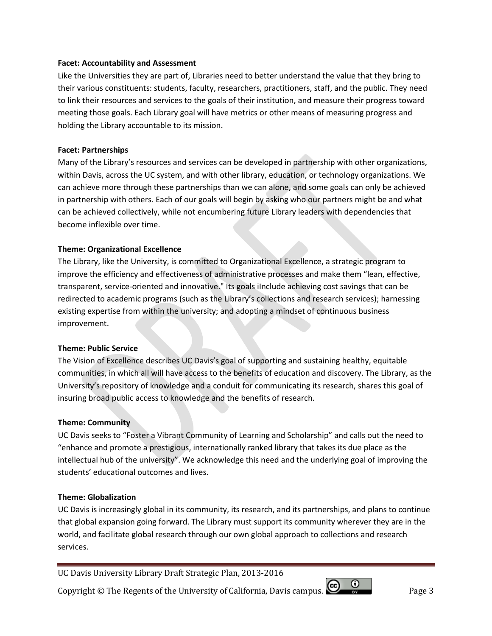#### **Facet: Accountability and Assessment**

Like the Universities they are part of, Libraries need to better understand the value that they bring to their various constituents: students, faculty, researchers, practitioners, staff, and the public. They need to link their resources and services to the goals of their institution, and measure their progress toward meeting those goals. Each Library goal will have metrics or other means of measuring progress and holding the Library accountable to its mission.

#### **Facet: Partnerships**

Many of the Library's resources and services can be developed in partnership with other organizations, within Davis, across the UC system, and with other library, education, or technology organizations. We can achieve more through these partnerships than we can alone, and some goals can only be achieved in partnership with others. Each of our goals will begin by asking who our partners might be and what can be achieved collectively, while not encumbering future Library leaders with dependencies that become inflexible over time.

#### **Theme: Organizational Excellence**

The Library, like the University, is committed to Organizational Excellence, a strategic program to improve the efficiency and effectiveness of administrative processes and make them "lean, effective, transparent, service-oriented and innovative." Its goals iInclude achieving cost savings that can be redirected to academic programs (such as the Library's collections and research services); harnessing existing expertise from within the university; and adopting a mindset of continuous business improvement.

#### **Theme: Public Service**

The Vision of Excellence describes UC Davis's goal of supporting and sustaining healthy, equitable communities, in which all will have access to the benefits of education and discovery. The Library, as the University's repository of knowledge and a conduit for communicating its research, shares this goal of insuring broad public access to knowledge and the benefits of research.

#### **Theme: Community**

UC Davis seeks to "Foster a Vibrant Community of Learning and Scholarship" and calls out the need to "enhance and promote a prestigious, internationally ranked library that takes its due place as the intellectual hub of the university". We acknowledge this need and the underlying goal of improving the students' educational outcomes and lives.

#### **Theme: Globalization**

UC Davis is increasingly global in its community, its research, and its partnerships, and plans to continue that global expansion going forward. The Library must support its community wherever they are in the world, and facilitate global research through our own global approach to collections and research services.

UC Davis University Library Draft Strategic Plan, 2013-2016

Copyright © The Regents of the University of California, Davis campus.  $\left[\begin{array}{cc} \text{(c)} & \text{(d)} \\ \text{(e)} & \text{(f)} \end{array}\right]$  Page 3

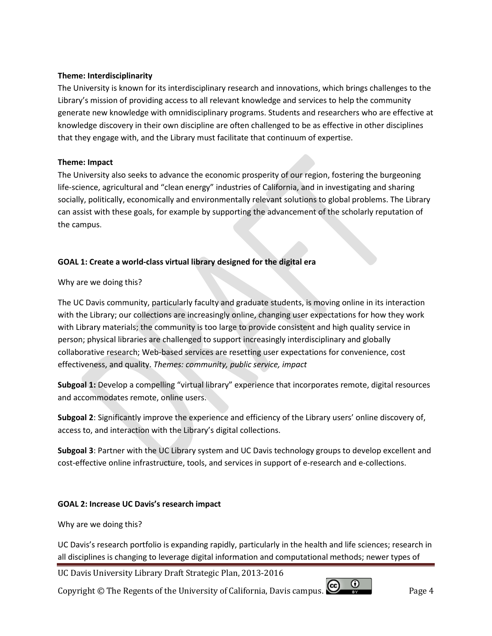#### **Theme: Interdisciplinarity**

The University is known for its interdisciplinary research and innovations, which brings challenges to the Library's mission of providing access to all relevant knowledge and services to help the community generate new knowledge with omnidisciplinary programs. Students and researchers who are effective at knowledge discovery in their own discipline are often challenged to be as effective in other disciplines that they engage with, and the Library must facilitate that continuum of expertise.

#### **Theme: Impact**

The University also seeks to advance the economic prosperity of our region, fostering the burgeoning life-science, agricultural and "clean energy" industries of California, and in investigating and sharing socially, politically, economically and environmentally relevant solutions to global problems. The Library can assist with these goals, for example by supporting the advancement of the scholarly reputation of the campus.

#### **GOAL 1: Create a world-class virtual library designed for the digital era**

Why are we doing this?

The UC Davis community, particularly faculty and graduate students, is moving online in its interaction with the Library; our collections are increasingly online, changing user expectations for how they work with Library materials; the community is too large to provide consistent and high quality service in person; physical libraries are challenged to support increasingly interdisciplinary and globally collaborative research; Web-based services are resetting user expectations for convenience, cost effectiveness, and quality. *Themes: community, public service, impact*

**Subgoal 1:** Develop a compelling "virtual library" experience that incorporates remote, digital resources and accommodates remote, online users.

**Subgoal 2**: Significantly improve the experience and efficiency of the Library users' online discovery of, access to, and interaction with the Library's digital collections.

**Subgoal 3**: Partner with the UC Library system and UC Davis technology groups to develop excellent and cost-effective online infrastructure, tools, and services in support of e-research and e-collections.

#### **GOAL 2: Increase UC Davis's research impact**

Why are we doing this?

UC Davis's research portfolio is expanding rapidly, particularly in the health and life sciences; research in all disciplines is changing to leverage digital information and computational methods; newer types of

UC Davis University Library Draft Strategic Plan, 2013-2016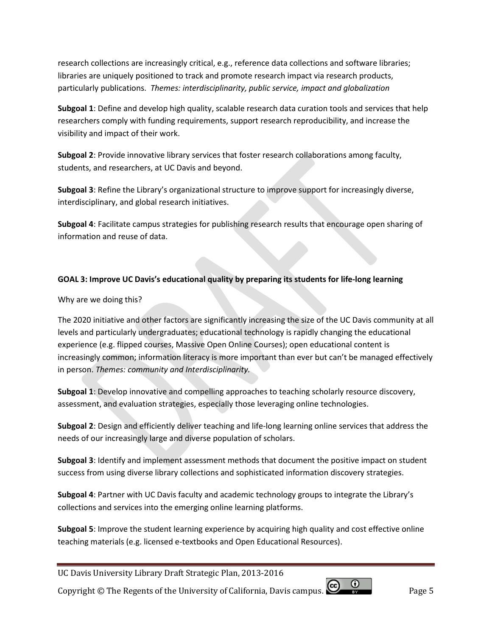research collections are increasingly critical, e.g., reference data collections and software libraries; libraries are uniquely positioned to track and promote research impact via research products, particularly publications. *Themes: interdisciplinarity, public service, impact and globalization*

**Subgoal 1**: Define and develop high quality, scalable research data curation tools and services that help researchers comply with funding requirements, support research reproducibility, and increase the visibility and impact of their work.

**Subgoal 2**: Provide innovative library services that foster research collaborations among faculty, students, and researchers, at UC Davis and beyond.

**Subgoal 3**: Refine the Library's organizational structure to improve support for increasingly diverse, interdisciplinary, and global research initiatives.

**Subgoal 4**: Facilitate campus strategies for publishing research results that encourage open sharing of information and reuse of data.

#### **GOAL 3: Improve UC Davis's educational quality by preparing its students for life-long learning**

Why are we doing this?

The 2020 initiative and other factors are significantly increasing the size of the UC Davis community at all levels and particularly undergraduates; educational technology is rapidly changing the educational experience (e.g. flipped courses, Massive Open Online Courses); open educational content is increasingly common; information literacy is more important than ever but can't be managed effectively in person. *Themes: community and Interdisciplinarity.*

**Subgoal 1**: Develop innovative and compelling approaches to teaching scholarly resource discovery, assessment, and evaluation strategies, especially those leveraging online technologies.

**Subgoal 2**: Design and efficiently deliver teaching and life-long learning online services that address the needs of our increasingly large and diverse population of scholars.

**Subgoal 3**: Identify and implement assessment methods that document the positive impact on student success from using diverse library collections and sophisticated information discovery strategies.

**Subgoal 4**: Partner with UC Davis faculty and academic technology groups to integrate the Library's collections and services into the emerging online learning platforms.

**Subgoal 5**: Improve the student learning experience by acquiring high quality and cost effective online teaching materials (e.g. licensed e-textbooks and Open Educational Resources).

UC Davis University Library Draft Strategic Plan, 2013-2016

Copyright © The Regents of the University of California, Davis campus. Page 5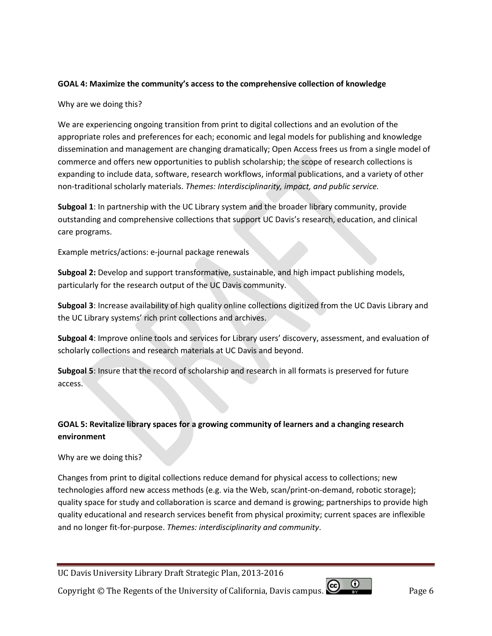#### **GOAL 4: Maximize the community's access to the comprehensive collection of knowledge**

Why are we doing this?

We are experiencing ongoing transition from print to digital collections and an evolution of the appropriate roles and preferences for each; economic and legal models for publishing and knowledge dissemination and management are changing dramatically; Open Access frees us from a single model of commerce and offers new opportunities to publish scholarship; the scope of research collections is expanding to include data, software, research workflows, informal publications, and a variety of other non-traditional scholarly materials. *Themes: Interdisciplinarity, impact, and public service.*

**Subgoal 1**: In partnership with the UC Library system and the broader library community, provide outstanding and comprehensive collections that support UC Davis's research, education, and clinical care programs.

Example metrics/actions: e-journal package renewals

**Subgoal 2:** Develop and support transformative, sustainable, and high impact publishing models, particularly for the research output of the UC Davis community.

**Subgoal 3**: Increase availability of high quality online collections digitized from the UC Davis Library and the UC Library systems' rich print collections and archives.

**Subgoal 4**: Improve online tools and services for Library users' discovery, assessment, and evaluation of scholarly collections and research materials at UC Davis and beyond.

**Subgoal 5**: Insure that the record of scholarship and research in all formats is preserved for future access.

## **GOAL 5: Revitalize library spaces for a growing community of learners and a changing research environment**

Why are we doing this?

Changes from print to digital collections reduce demand for physical access to collections; new technologies afford new access methods (e.g. via the Web, scan/print-on-demand, robotic storage); quality space for study and collaboration is scarce and demand is growing; partnerships to provide high quality educational and research services benefit from physical proximity; current spaces are inflexible and no longer fit-for-purpose. *Themes: interdisciplinarity and community*.

UC Davis University Library Draft Strategic Plan, 2013-2016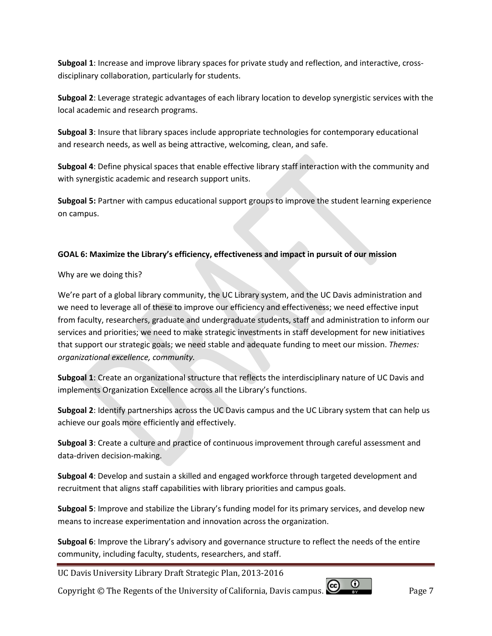**Subgoal 1**: Increase and improve library spaces for private study and reflection, and interactive, crossdisciplinary collaboration, particularly for students.

**Subgoal 2**: Leverage strategic advantages of each library location to develop synergistic services with the local academic and research programs.

**Subgoal 3**: Insure that library spaces include appropriate technologies for contemporary educational and research needs, as well as being attractive, welcoming, clean, and safe.

**Subgoal 4**: Define physical spaces that enable effective library staff interaction with the community and with synergistic academic and research support units.

**Subgoal 5:** Partner with campus educational support groups to improve the student learning experience on campus.

#### **GOAL 6: Maximize the Library's efficiency, effectiveness and impact in pursuit of our mission**

Why are we doing this?

We're part of a global library community, the UC Library system, and the UC Davis administration and we need to leverage all of these to improve our efficiency and effectiveness; we need effective input from faculty, researchers, graduate and undergraduate students, staff and administration to inform our services and priorities; we need to make strategic investments in staff development for new initiatives that support our strategic goals; we need stable and adequate funding to meet our mission. *Themes: organizational excellence, community.*

**Subgoal 1**: Create an organizational structure that reflects the interdisciplinary nature of UC Davis and implements Organization Excellence across all the Library's functions.

**Subgoal 2**: Identify partnerships across the UC Davis campus and the UC Library system that can help us achieve our goals more efficiently and effectively.

**Subgoal 3**: Create a culture and practice of continuous improvement through careful assessment and data-driven decision-making.

**Subgoal 4**: Develop and sustain a skilled and engaged workforce through targeted development and recruitment that aligns staff capabilities with library priorities and campus goals.

**Subgoal 5**: Improve and stabilize the Library's funding model for its primary services, and develop new means to increase experimentation and innovation across the organization.

**Subgoal 6**: Improve the Library's advisory and governance structure to reflect the needs of the entire community, including faculty, students, researchers, and staff.

UC Davis University Library Draft Strategic Plan, 2013-2016